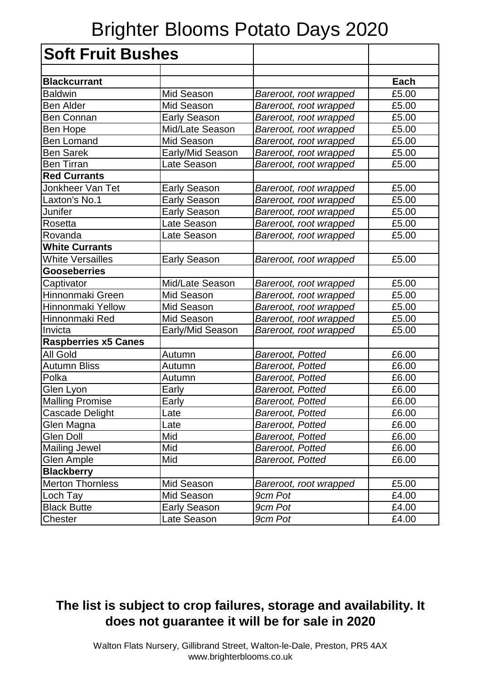## Brighter Blooms Potato Days 2020

| <b>Soft Fruit Bushes</b>    |                     |                        |       |
|-----------------------------|---------------------|------------------------|-------|
|                             |                     |                        |       |
| <b>Blackcurrant</b>         |                     |                        | Each  |
| <b>Baldwin</b>              | Mid Season          | Bareroot, root wrapped | £5.00 |
| <b>Ben Alder</b>            | Mid Season          | Bareroot, root wrapped | £5.00 |
| <b>Ben Connan</b>           | <b>Early Season</b> | Bareroot, root wrapped | £5.00 |
| <b>Ben Hope</b>             | Mid/Late Season     | Bareroot, root wrapped | £5.00 |
| <b>Ben Lomand</b>           | Mid Season          | Bareroot, root wrapped | £5.00 |
| <b>Ben Sarek</b>            | Early/Mid Season    | Bareroot, root wrapped | £5.00 |
| <b>Ben Tirran</b>           | Late Season         | Bareroot, root wrapped | £5.00 |
| <b>Red Currants</b>         |                     |                        |       |
| Jonkheer Van Tet            | <b>Early Season</b> | Bareroot, root wrapped | £5.00 |
| Laxton's No.1               | <b>Early Season</b> | Bareroot, root wrapped | £5.00 |
| Junifer                     | <b>Early Season</b> | Bareroot, root wrapped | £5.00 |
| Rosetta                     | Late Season         | Bareroot, root wrapped | £5.00 |
| Rovanda                     | Late Season         | Bareroot, root wrapped | £5.00 |
| <b>White Currants</b>       |                     |                        |       |
| <b>White Versailles</b>     | <b>Early Season</b> | Bareroot, root wrapped | £5.00 |
| <b>Gooseberries</b>         |                     |                        |       |
| Captivator                  | Mid/Late Season     | Bareroot, root wrapped | £5.00 |
| Hinnonmaki Green            | Mid Season          | Bareroot, root wrapped | £5.00 |
| Hinnonmaki Yellow           | Mid Season          | Bareroot, root wrapped | £5.00 |
| Hinnonmaki Red              | Mid Season          | Bareroot, root wrapped | £5.00 |
| Invicta                     | Early/Mid Season    | Bareroot, root wrapped | £5.00 |
| <b>Raspberries x5 Canes</b> |                     |                        |       |
| <b>All Gold</b>             | Autumn              | Bareroot, Potted       | £6.00 |
| <b>Autumn Bliss</b>         | Autumn              | Bareroot, Potted       | £6.00 |
| Polka                       | Autumn              | Bareroot, Potted       | £6.00 |
| Glen Lyon                   | Early               | Bareroot, Potted       | £6.00 |
| <b>Malling Promise</b>      | Early               | Bareroot, Potted       | £6.00 |
| Cascade Delight             | Late                | Bareroot, Potted       | £6.00 |
| Glen Magna                  | Late                | Bareroot, Potted       | £6.00 |
| Glen Doll                   | Mid                 | Bareroot, Potted       | £6.00 |
| <b>Mailing Jewel</b>        | Mid                 | Bareroot, Potted       | £6.00 |
| <b>Glen Ample</b>           | Mid                 | Bareroot, Potted       | £6.00 |
| <b>Blackberry</b>           |                     |                        |       |
| <b>Merton Thornless</b>     | Mid Season          | Bareroot, root wrapped | £5.00 |
| Loch Tay                    | Mid Season          | 9cm Pot                | £4.00 |
| <b>Black Butte</b>          | <b>Early Season</b> | 9cm Pot                | £4.00 |
| Chester                     | Late Season         | 9cm Pot                | £4.00 |

## **The list is subject to crop failures, storage and availability. It does not guarantee it will be for sale in 2020**

Walton Flats Nursery, Gillibrand Street, Walton-le-Dale, Preston, PR5 4AX www.brighterblooms.co.uk